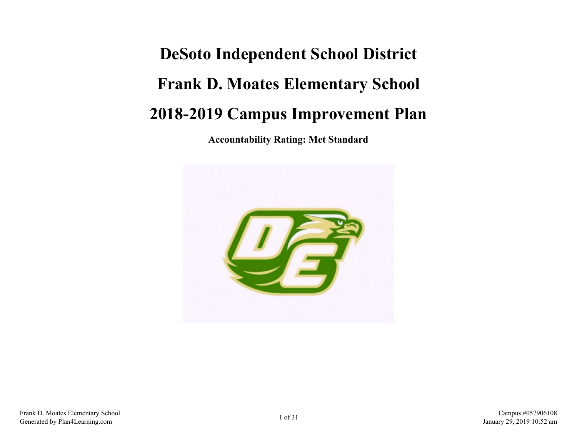# **DeSoto Independent School District Frank D. Moates Elementary School 2018-2019 Campus Improvement Plan**

**Accountability Rating: Met Standard**

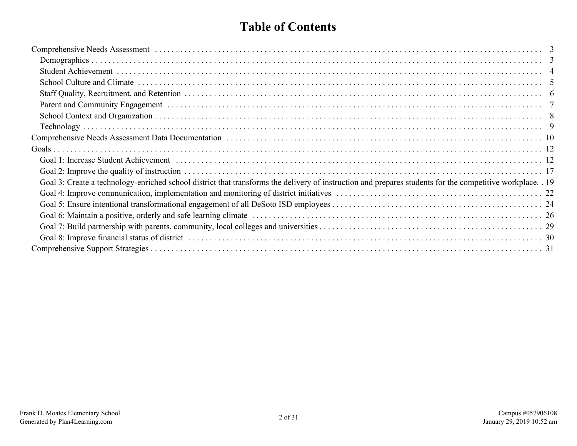# **Table of Contents**

| Comprehensive Needs Assessment (and the contract of the contract of the contract of the contract of the contract of the contract of the contract of the contract of the contract of the contract of the contract of the contra |  |
|--------------------------------------------------------------------------------------------------------------------------------------------------------------------------------------------------------------------------------|--|
|                                                                                                                                                                                                                                |  |
|                                                                                                                                                                                                                                |  |
|                                                                                                                                                                                                                                |  |
|                                                                                                                                                                                                                                |  |
|                                                                                                                                                                                                                                |  |
|                                                                                                                                                                                                                                |  |
|                                                                                                                                                                                                                                |  |
|                                                                                                                                                                                                                                |  |
|                                                                                                                                                                                                                                |  |
|                                                                                                                                                                                                                                |  |
|                                                                                                                                                                                                                                |  |
| Goal 3: Create a technology-enriched school district that transforms the delivery of instruction and prepares students for the competitive workplace. 19                                                                       |  |
|                                                                                                                                                                                                                                |  |
|                                                                                                                                                                                                                                |  |
|                                                                                                                                                                                                                                |  |
|                                                                                                                                                                                                                                |  |
|                                                                                                                                                                                                                                |  |
|                                                                                                                                                                                                                                |  |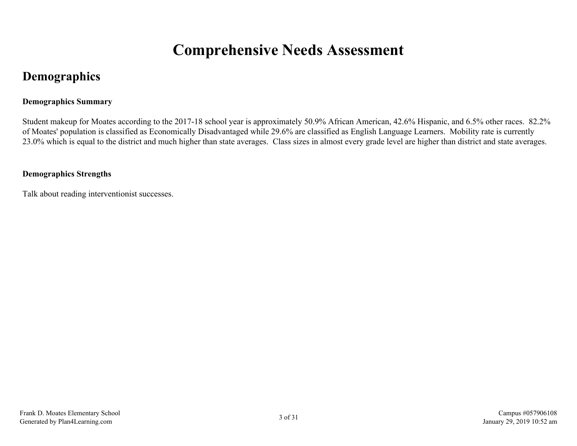# **Comprehensive Needs Assessment**

# <span id="page-2-0"></span>**Demographics**

### **Demographics Summary**

Student makeup for Moates according to the 2017-18 school year is approximately 50.9% African American, 42.6% Hispanic, and 6.5% other races. 82.2% of Moates' population is classified as Economically Disadvantaged while 29.6% are classified as English Language Learners. Mobility rate is currently 23.0% which is equal to the district and much higher than state averages. Class sizes in almost every grade level are higher than district and state averages.

### **Demographics Strengths**

Talk about reading interventionist successes.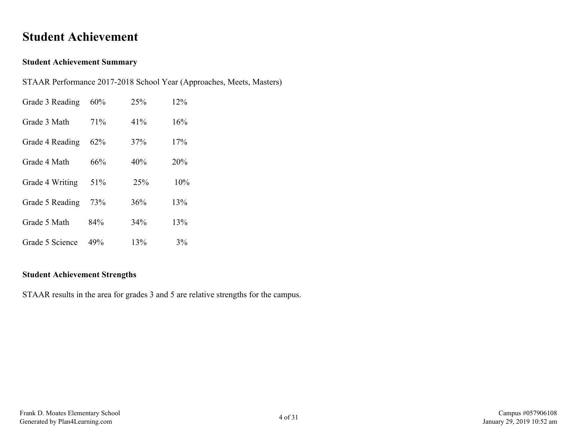### <span id="page-3-0"></span>**Student Achievement**

#### **Student Achievement Summary**

STAAR Performance 2017-2018 School Year (Approaches, Meets, Masters)

| Grade 3 Reading | 60% | 25%    | 12% |
|-----------------|-----|--------|-----|
| Grade 3 Math    | 71% | $41\%$ | 16% |
| Grade 4 Reading | 62% | 37%    | 17% |
| Grade 4 Math    | 66% | 40%    | 20% |
| Grade 4 Writing | 51% | 25%    | 10% |
| Grade 5 Reading | 73% | 36%    | 13% |
| Grade 5 Math    | 84% | 34%    | 13% |
| Grade 5 Science | 49% | 13%    | 3%  |

### **Student Achievement Strengths**

STAAR results in the area for grades 3 and 5 are relative strengths for the campus.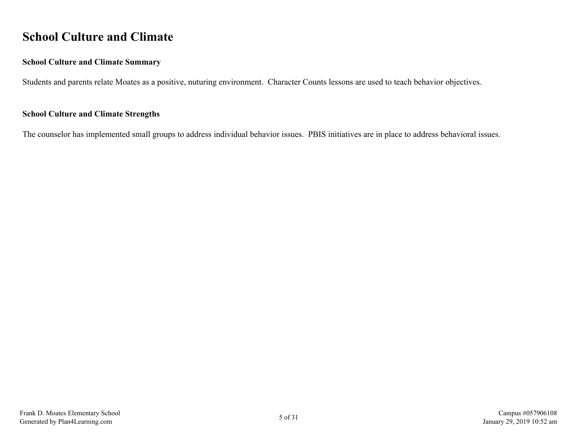# <span id="page-4-0"></span>**School Culture and Climate**

#### **School Culture and Climate Summary**

Students and parents relate Moates as a positive, nuturing environment. Character Counts lessons are used to teach behavior objectives.

#### **School Culture and Climate Strengths**

The counselor has implemented small groups to address individual behavior issues. PBIS initiatives are in place to address behavioral issues.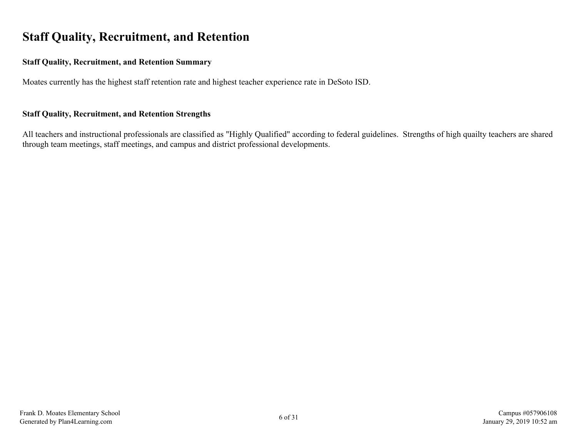# <span id="page-5-0"></span>**Staff Quality, Recruitment, and Retention**

#### **Staff Quality, Recruitment, and Retention Summary**

Moates currently has the highest staff retention rate and highest teacher experience rate in DeSoto ISD.

#### **Staff Quality, Recruitment, and Retention Strengths**

All teachers and instructional professionals are classified as "Highly Qualified" according to federal guidelines. Strengths of high quailty teachers are shared through team meetings, staff meetings, and campus and district professional developments.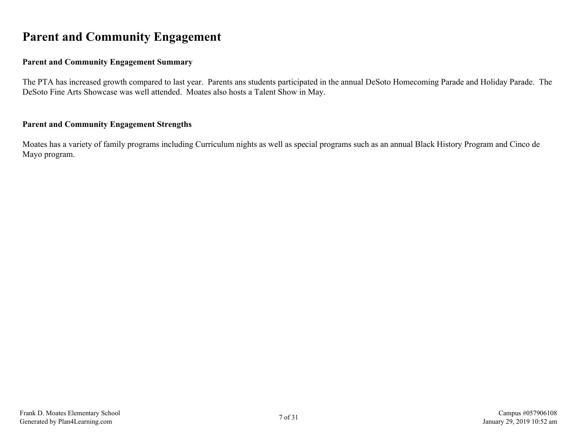# <span id="page-6-0"></span>**Parent and Community Engagement**

### **Parent and Community Engagement Summary**

The PTA has increased growth compared to last year. Parents ans students participated in the annual DeSoto Homecoming Parade and Holiday Parade. The DeSoto Fine Arts Showcase was well attended. Moates also hosts a Talent Show in May.

#### **Parent and Community Engagement Strengths**

Moates has a variety of family programs including Curriculum nights as well as special programs such as an annual Black History Program and Cinco de Mayo program.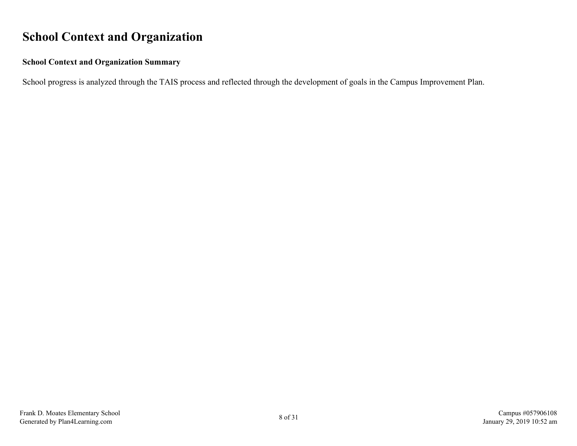# <span id="page-7-0"></span>**School Context and Organization**

### **School Context and Organization Summary**

School progress is analyzed through the TAIS process and reflected through the development of goals in the Campus Improvement Plan.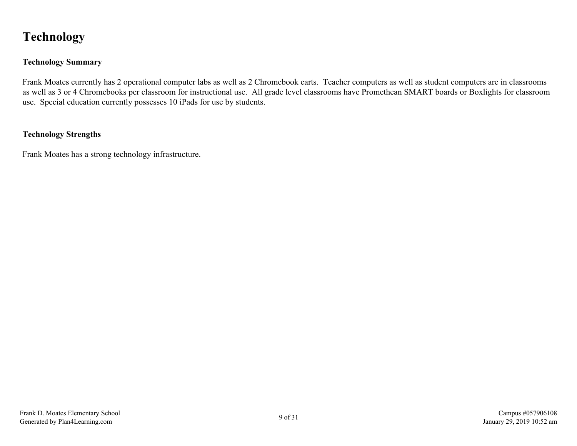# <span id="page-8-0"></span>**Technology**

### **Technology Summary**

Frank Moates currently has 2 operational computer labs as well as 2 Chromebook carts. Teacher computers as well as student computers are in classrooms as well as 3 or 4 Chromebooks per classroom for instructional use. All grade level classrooms have Promethean SMART boards or Boxlights for classroom use. Special education currently possesses 10 iPads for use by students.

### **Technology Strengths**

Frank Moates has a strong technology infrastructure.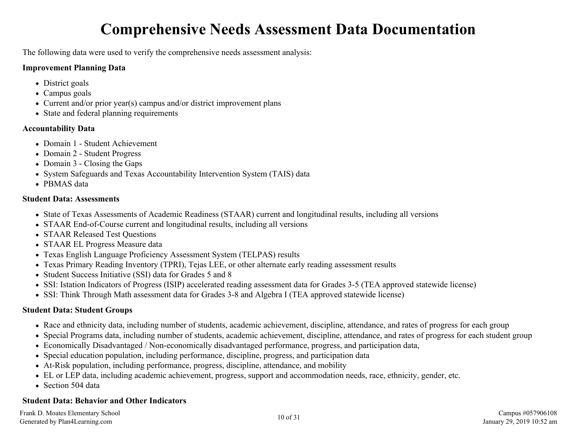# **Comprehensive Needs Assessment Data Documentation**

<span id="page-9-0"></span>The following data were used to verify the comprehensive needs assessment analysis:

### **Improvement Planning Data**

- District goals
- Campus goals
- Current and/or prior year(s) campus and/or district improvement plans
- State and federal planning requirements

### **Accountability Data**

- Domain 1 Student Achievement
- Domain 2 Student Progress
- Domain 3 Closing the Gaps
- System Safeguards and Texas Accountability Intervention System (TAIS) data
- PBMAS data

### **Student Data: Assessments**

- State of Texas Assessments of Academic Readiness (STAAR) current and longitudinal results, including all versions
- STAAR End-of-Course current and longitudinal results, including all versions
- STAAR Released Test Ouestions
- STAAR EL Progress Measure data
- Texas English Language Proficiency Assessment System (TELPAS) results
- Texas Primary Reading Inventory (TPRI), Tejas LEE, or other alternate early reading assessment results
- Student Success Initiative (SSI) data for Grades 5 and 8
- SSI: Istation Indicators of Progress (ISIP) accelerated reading assessment data for Grades 3-5 (TEA approved statewide license)
- SSI: Think Through Math assessment data for Grades 3-8 and Algebra I (TEA approved statewide license)

### **Student Data: Student Groups**

- Race and ethnicity data, including number of students, academic achievement, discipline, attendance, and rates of progress for each group
- Special Programs data, including number of students, academic achievement, discipline, attendance, and rates of progress for each student group
- Economically Disadvantaged / Non-economically disadvantaged performance, progress, and participation data,
- Special education population, including performance, discipline, progress, and participation data
- At-Risk population, including performance, progress, discipline, attendance, and mobility
- EL or LEP data, including academic achievement, progress, support and accommodation needs, race, ethnicity, gender, etc.
- Section 504 data

### **Student Data: Behavior and Other Indicators**

Frank D. Moates Elementary School Frank D. Moates Elementary School Campus #057906108 Campus #057906108 Campus #057906108 Campus #057906108 Campus #057906108 Campus #057906108 Campus #057906108 Campus #057906108 Campus #057906108 Campus #057906108 Campus #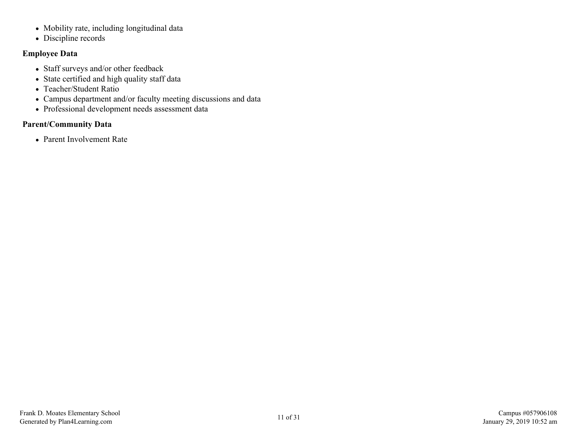- Mobility rate, including longitudinal data
- Discipline records

### **Employee Data**

- Staff surveys and/or other feedback
- State certified and high quality staff data
- Teacher/Student Ratio
- Campus department and/or faculty meeting discussions and data
- Professional development needs assessment data

### **Parent/Community Data**

• Parent Involvement Rate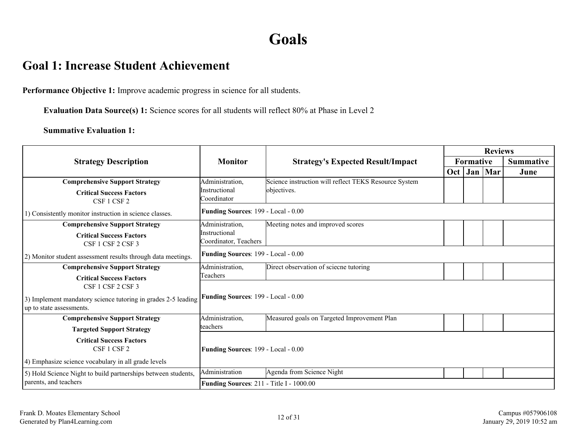# **Goals**

### <span id="page-11-0"></span>**Goal 1: Increase Student Achievement**

**Performance Objective 1:** Improve academic progress in science for all students.

**Evaluation Data Source(s) 1:** Science scores for all students will reflect 80% at Phase in Level 2

|                                                                                           |                                                 |                                                       |                  |     | <b>Reviews</b> |                  |
|-------------------------------------------------------------------------------------------|-------------------------------------------------|-------------------------------------------------------|------------------|-----|----------------|------------------|
| <b>Strategy Description</b>                                                               | <b>Monitor</b>                                  | <b>Strategy's Expected Result/Impact</b>              | <b>Formative</b> |     |                | <b>Summative</b> |
|                                                                                           |                                                 |                                                       | Oct <sub>1</sub> | Jan | Mar            | June             |
| <b>Comprehensive Support Strategy</b>                                                     | Administration,                                 | Science instruction will reflect TEKS Resource System |                  |     |                |                  |
| <b>Critical Success Factors</b><br>CSF 1 CSF 2                                            | Instructional<br>Coordinator                    | objectives.                                           |                  |     |                |                  |
| 1) Consistently monitor instruction in science classes.                                   | <b>Funding Sources: 199 - Local - 0.00</b>      |                                                       |                  |     |                |                  |
| <b>Comprehensive Support Strategy</b>                                                     | Administration,                                 | Meeting notes and improved scores                     |                  |     |                |                  |
| <b>Critical Success Factors</b><br>CSF 1 CSF 2 CSF 3                                      | Instructional<br>Coordinator, Teachers          |                                                       |                  |     |                |                  |
| 2) Monitor student assessment results through data meetings.                              | <b>Funding Sources: 199 - Local - 0.00</b>      |                                                       |                  |     |                |                  |
| <b>Comprehensive Support Strategy</b>                                                     | Administration,                                 | Direct observation of sciecne tutoring                |                  |     |                |                  |
| <b>Critical Success Factors</b>                                                           | Teachers                                        |                                                       |                  |     |                |                  |
| CSF 1 CSF 2 CSF 3                                                                         |                                                 |                                                       |                  |     |                |                  |
| 3) Implement mandatory science tutoring in grades 2-5 leading<br>up to state assessments. | Funding Sources: 199 - Local - 0.00             |                                                       |                  |     |                |                  |
| <b>Comprehensive Support Strategy</b>                                                     | Administration,                                 | Measured goals on Targeted Improvement Plan           |                  |     |                |                  |
| <b>Targeted Support Strategy</b>                                                          | lteachers                                       |                                                       |                  |     |                |                  |
| <b>Critical Success Factors</b><br>CSF 1 CSF 2                                            | <b>Funding Sources: 199 - Local - 0.00</b>      |                                                       |                  |     |                |                  |
| 4) Emphasize science vocabulary in all grade levels                                       |                                                 |                                                       |                  |     |                |                  |
| 5) Hold Science Night to build partnerships between students,                             | Administration                                  | Agenda from Science Night                             |                  |     |                |                  |
| parents, and teachers                                                                     | <b>Funding Sources: 211 - Title I - 1000.00</b> |                                                       |                  |     |                |                  |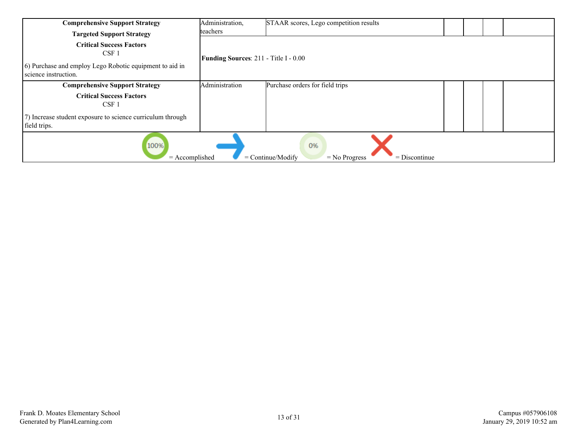| <b>Comprehensive Support Strategy</b>                                                                                                   | Administration,                              | STAAR scores, Lego competition results |  |  |  |  |
|-----------------------------------------------------------------------------------------------------------------------------------------|----------------------------------------------|----------------------------------------|--|--|--|--|
| <b>Targeted Support Strategy</b>                                                                                                        | teachers                                     |                                        |  |  |  |  |
| <b>Critical Success Factors</b><br>CSF <sub>1</sub><br>(6) Purchase and employ Lego Robotic equipment to aid in<br>science instruction. | <b>Funding Sources: 211 - Title I - 0.00</b> |                                        |  |  |  |  |
| <b>Comprehensive Support Strategy</b>                                                                                                   | Administration                               | Purchase orders for field trips        |  |  |  |  |
| <b>Critical Success Factors</b><br>CSF 1                                                                                                |                                              |                                        |  |  |  |  |
| (7) Increase student exposure to science curriculum through<br>field trips.                                                             |                                              |                                        |  |  |  |  |
| 100%<br>0%<br>$=$ Continue/Modify<br>$=$ Accomplished<br>$=$ Discontinue<br>$=$ No Progress                                             |                                              |                                        |  |  |  |  |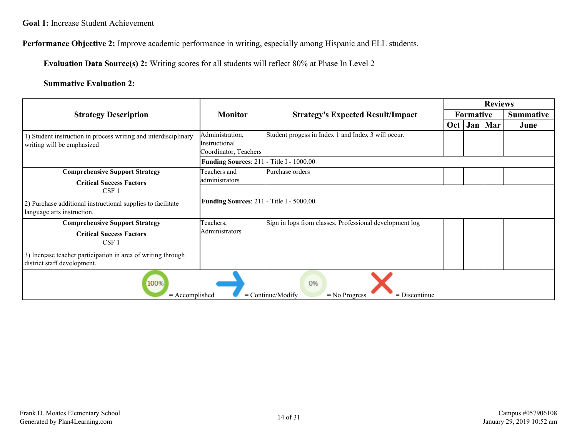**Performance Objective 2:** Improve academic performance in writing, especially among Hispanic and ELL students.

**Evaluation Data Source(s) 2:** Writing scores for all students will reflect 80% at Phase In Level 2

|                                                                                               |                                                           |                                                         |                  |                  | <b>Reviews</b> |                  |
|-----------------------------------------------------------------------------------------------|-----------------------------------------------------------|---------------------------------------------------------|------------------|------------------|----------------|------------------|
| <b>Strategy Description</b>                                                                   | <b>Monitor</b>                                            | <b>Strategy's Expected Result/Impact</b>                |                  | <b>Formative</b> |                | <b>Summative</b> |
|                                                                                               |                                                           |                                                         | Oct <sub>1</sub> |                  | Jan   Mar      | June             |
| 1) Student instruction in process writing and interdisciplinary<br>writing will be emphasized | Administration,<br>Instructional<br>Coordinator, Teachers | Student progess in Index 1 and Index 3 will occur.      |                  |                  |                |                  |
|                                                                                               | Funding Sources: 211 - Title I - 1000.00                  |                                                         |                  |                  |                |                  |
| <b>Comprehensive Support Strategy</b><br><b>Critical Success Factors</b>                      | Teachers and<br>administrators                            | Purchase orders                                         |                  |                  |                |                  |
| $CSF$ 1                                                                                       |                                                           |                                                         |                  |                  |                |                  |
| 2) Purchase additional instructional supplies to facilitate<br>language arts instruction.     | <b>Funding Sources: 211 - Title I - 5000.00</b>           |                                                         |                  |                  |                |                  |
| <b>Comprehensive Support Strategy</b>                                                         | Teachers,                                                 | Sign in logs from classes. Professional development log |                  |                  |                |                  |
| <b>Critical Success Factors</b><br>CSF <sub>1</sub>                                           | <b>Administrators</b>                                     |                                                         |                  |                  |                |                  |
| 3) Increase teacher participation in area of writing through<br>district staff development.   |                                                           |                                                         |                  |                  |                |                  |
| 100%<br>0%<br>$=$ Accomplished<br>$=$ Continue/Modify<br>$=$ Discontinue<br>$=$ No Progress   |                                                           |                                                         |                  |                  |                |                  |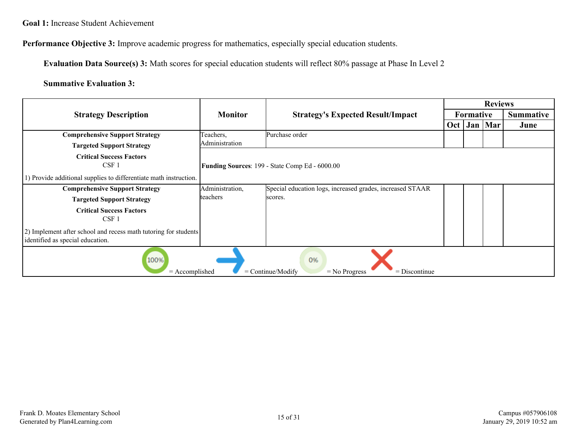**Performance Objective 3:** Improve academic progress for mathematics, especially special education students.

**Evaluation Data Source(s) 3:** Math scores for special education students will reflect 80% passage at Phase In Level 2

|                                                                                                     |                 |                                                                 |     | <b>Reviews</b>   |     |                  |
|-----------------------------------------------------------------------------------------------------|-----------------|-----------------------------------------------------------------|-----|------------------|-----|------------------|
| <b>Strategy Description</b>                                                                         | <b>Monitor</b>  | <b>Strategy's Expected Result/Impact</b>                        |     | <b>Formative</b> |     | <b>Summative</b> |
|                                                                                                     |                 |                                                                 | Oct | Jan              | Mar | June             |
| <b>Comprehensive Support Strategy</b>                                                               | Teachers,       | Purchase order                                                  |     |                  |     |                  |
| <b>Targeted Support Strategy</b>                                                                    | Administration  |                                                                 |     |                  |     |                  |
| <b>Critical Success Factors</b><br>CSF <sub>1</sub>                                                 |                 | Funding Sources: 199 - State Comp Ed - 6000.00                  |     |                  |     |                  |
| 1) Provide additional supplies to differentiate math instruction.                                   |                 |                                                                 |     |                  |     |                  |
| <b>Comprehensive Support Strategy</b>                                                               | Administration, | Special education logs, increased grades, increased STAAR       |     |                  |     |                  |
| <b>Targeted Support Strategy</b>                                                                    | teachers        | scores.                                                         |     |                  |     |                  |
| <b>Critical Success Factors</b><br>CSF <sub>1</sub>                                                 |                 |                                                                 |     |                  |     |                  |
| 2) Implement after school and recess math tutoring for students<br>identified as special education. |                 |                                                                 |     |                  |     |                  |
| 100%<br>$=$ Accomplished                                                                            |                 | 0%<br>$=$ Continue/Modify<br>$=$ Discontinue<br>$=$ No Progress |     |                  |     |                  |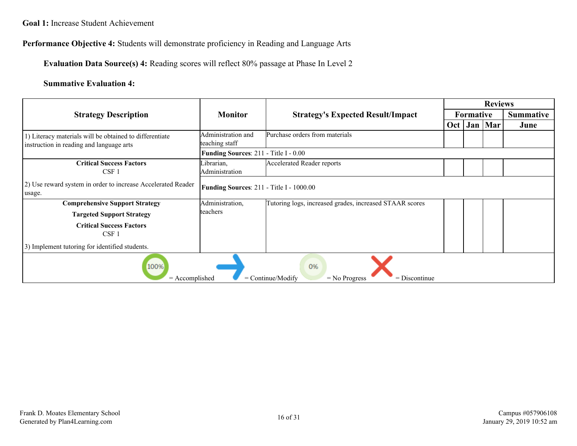**Performance Objective 4:** Students will demonstrate proficiency in Reading and Language Arts

**Evaluation Data Source(s) 4:** Reading scores will reflect 80% passage at Phase In Level 2

|                                                                                                     |                                                 |                                                         | <b>Reviews</b> |                  |     |                  |
|-----------------------------------------------------------------------------------------------------|-------------------------------------------------|---------------------------------------------------------|----------------|------------------|-----|------------------|
| <b>Strategy Description</b>                                                                         | <b>Monitor</b>                                  | <b>Strategy's Expected Result/Impact</b>                |                | <b>Formative</b> |     | <b>Summative</b> |
|                                                                                                     |                                                 |                                                         | Oct            | Jan              | Mar | June             |
| 1) Literacy materials will be obtained to differentiate<br>instruction in reading and language arts | Administration and<br>teaching staff            | Purchase orders from materials                          |                |                  |     |                  |
|                                                                                                     | Funding Sources: 211 - Title I - 0.00           |                                                         |                |                  |     |                  |
| <b>Critical Success Factors</b><br>CSF <sub>1</sub>                                                 | Librarian,<br>Administration                    | <b>Accelerated Reader reports</b>                       |                |                  |     |                  |
| 2) Use reward system in order to increase Accelerated Reader<br>usage.                              | <b>Funding Sources: 211 - Title I - 1000.00</b> |                                                         |                |                  |     |                  |
| <b>Comprehensive Support Strategy</b>                                                               | Administration,                                 | Tutoring logs, increased grades, increased STAAR scores |                |                  |     |                  |
| <b>Targeted Support Strategy</b>                                                                    | lteachers                                       |                                                         |                |                  |     |                  |
| <b>Critical Success Factors</b><br>$CSF$ 1                                                          |                                                 |                                                         |                |                  |     |                  |
| 3) Implement tutoring for identified students.                                                      |                                                 |                                                         |                |                  |     |                  |
| 100%<br>0%<br>$=$ Continue/Modify<br>$=$ Accomplished<br>$=$ Discontinue<br>$=$ No Progress         |                                                 |                                                         |                |                  |     |                  |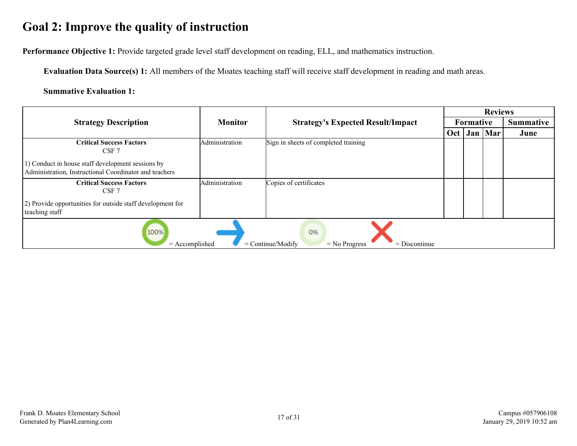# <span id="page-16-0"></span>**Goal 2: Improve the quality of instruction**

**Performance Objective 1:** Provide targeted grade level staff development on reading, ELL, and mathematics instruction.

**Evaluation Data Source(s) 1:** All members of the Moates teaching staff will receive staff development in reading and math areas.

|                                                                                               |                |                                                                 | <b>Reviews</b>   |           |           |                  |
|-----------------------------------------------------------------------------------------------|----------------|-----------------------------------------------------------------|------------------|-----------|-----------|------------------|
| <b>Strategy Description</b>                                                                   | <b>Monitor</b> | <b>Strategy's Expected Result/Impact</b>                        |                  | Formative |           | <b>Summative</b> |
|                                                                                               |                |                                                                 | Oct <sub>1</sub> |           | Jan   Mar | June             |
| <b>Critical Success Factors</b><br>CSF 7<br>1) Conduct in house staff development sessions by | Administration | Sign in sheets of completed training                            |                  |           |           |                  |
| Administration, Instructional Coordinator and teachers                                        |                |                                                                 |                  |           |           |                  |
| <b>Critical Success Factors</b><br>CSF 7                                                      | Administration | Copies of certificates                                          |                  |           |           |                  |
| 2) Provide opportunities for outside staff development for<br>teaching staff                  |                |                                                                 |                  |           |           |                  |
| 100%<br>$=$ Accomplished                                                                      |                | 0%<br>$=$ Continue/Modify<br>$=$ Discontinue<br>$=$ No Progress |                  |           |           |                  |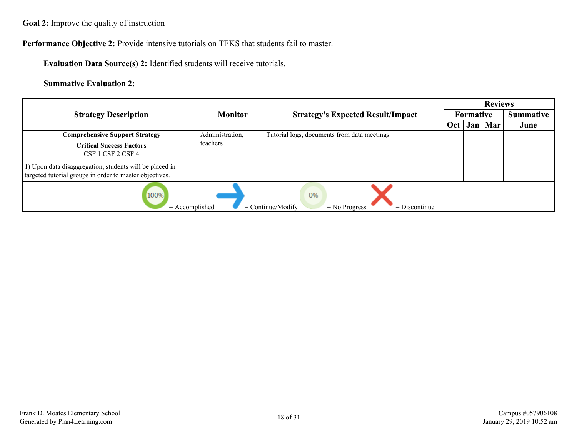**Goal 2:** Improve the quality of instruction

**Performance Objective 2:** Provide intensive tutorials on TEKS that students fail to master.

**Evaluation Data Source(s) 2:** Identified students will receive tutorials.

|                                                                                                                                                                            |                 |                                                                 |     |                  | <b>Reviews</b> |                  |
|----------------------------------------------------------------------------------------------------------------------------------------------------------------------------|-----------------|-----------------------------------------------------------------|-----|------------------|----------------|------------------|
| <b>Strategy Description</b>                                                                                                                                                | <b>Monitor</b>  | <b>Strategy's Expected Result/Impact</b>                        |     | <b>Formative</b> |                | <b>Summative</b> |
|                                                                                                                                                                            |                 |                                                                 | Oct |                  | Jan   Mar      | June             |
| <b>Comprehensive Support Strategy</b>                                                                                                                                      | Administration, | Tutorial logs, documents from data meetings                     |     |                  |                |                  |
| <b>Critical Success Factors</b><br>CSF 1 CSF 2 CSF 4<br>1) Upon data disaggregation, students will be placed in<br>targeted tutorial groups in order to master objectives. | teachers        |                                                                 |     |                  |                |                  |
| 100%<br>$=$ Accomplished                                                                                                                                                   |                 | 0%<br>$=$ Continue/Modify<br>$=$ No Progress<br>$=$ Discontinue |     |                  |                |                  |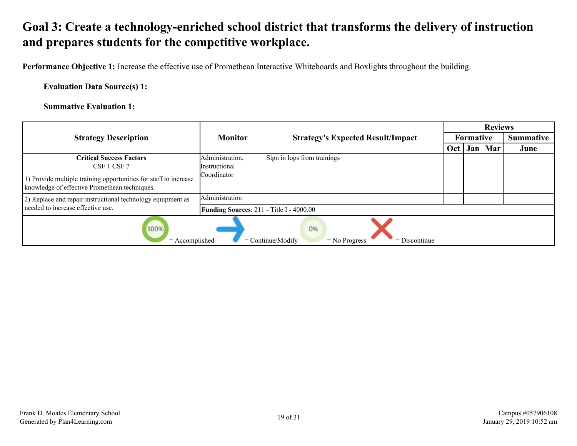# <span id="page-18-0"></span>**Goal 3: Create a technology-enriched school district that transforms the delivery of instruction and prepares students for the competitive workplace.**

**Performance Objective 1:** Increase the effective use of Promethean Interactive Whiteboards and Boxlights throughout the building.

**Evaluation Data Source(s) 1:**

|                                                                                                                   |                                          |                                                                 |     |                  | <b>Reviews</b> |                  |
|-------------------------------------------------------------------------------------------------------------------|------------------------------------------|-----------------------------------------------------------------|-----|------------------|----------------|------------------|
| <b>Strategy Description</b>                                                                                       | <b>Monitor</b>                           | <b>Strategy's Expected Result/Impact</b>                        |     | <b>Formative</b> |                | <b>Summative</b> |
|                                                                                                                   |                                          |                                                                 | Oct | Jan              | Mar            | June             |
| <b>Critical Success Factors</b>                                                                                   | Administration,                          | Sign in logs from trainings                                     |     |                  |                |                  |
| CSF 1 CSF 7                                                                                                       | <i>Instructional</i>                     |                                                                 |     |                  |                |                  |
| 1) Provide multiple training opportunities for staff to increase<br>knowledge of effective Promethean techniques. | Coordinator                              |                                                                 |     |                  |                |                  |
| 2) Replace and repair instructional technology equipment as                                                       | Administration                           |                                                                 |     |                  |                |                  |
| needed to increase effective use.                                                                                 | Funding Sources: 211 - Title I - 4000.00 |                                                                 |     |                  |                |                  |
| 100%<br>$=$ Accomplished                                                                                          |                                          | 0%<br>$=$ Continue/Modify<br>$=$ No Progress<br>$=$ Discontinue |     |                  |                |                  |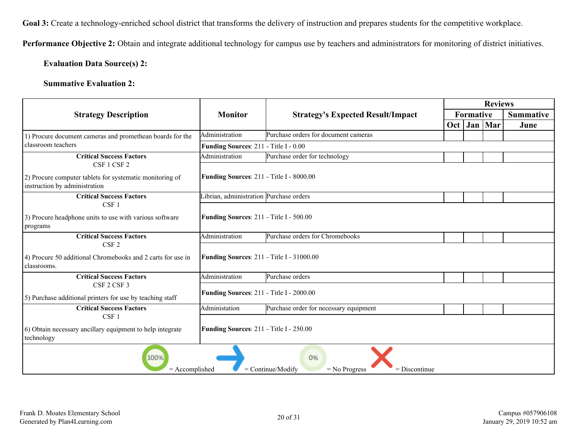Goal 3: Create a technology-enriched school district that transforms the delivery of instruction and prepares students for the competitive workplace.

**Performance Objective 2:** Obtain and integrate additional technology for campus use by teachers and administrators for monitoring of district initiatives.

#### **Evaluation Data Source(s) 2:**

|                                                                                             |                                                  |                                          |     |           |           |                  |  |  | <b>Reviews</b> |  |
|---------------------------------------------------------------------------------------------|--------------------------------------------------|------------------------------------------|-----|-----------|-----------|------------------|--|--|----------------|--|
| <b>Strategy Description</b>                                                                 | <b>Monitor</b>                                   | <b>Strategy's Expected Result/Impact</b> |     | Formative |           | <b>Summative</b> |  |  |                |  |
|                                                                                             |                                                  |                                          | Oct |           | Jan   Mar | June             |  |  |                |  |
| 1) Procure document cameras and promethean boards for the                                   | Administration                                   | Purchase orders for document cameras     |     |           |           |                  |  |  |                |  |
| classroom teachers                                                                          | Funding Sources: 211 - Title I - 0.00            |                                          |     |           |           |                  |  |  |                |  |
| <b>Critical Success Factors</b><br>CSF 1 CSF 2                                              | Administration                                   | Purchase order for technology            |     |           |           |                  |  |  |                |  |
| 2) Procure computer tablets for systematic monitoring of<br>instruction by administration   | Funding Sources: 211 - Title I - 8000.00         |                                          |     |           |           |                  |  |  |                |  |
| <b>Critical Success Factors</b><br>CSF <sub>1</sub>                                         | Librian, administration Purchase orders          |                                          |     |           |           |                  |  |  |                |  |
| 3) Procure headphone units to use with various software<br>programs                         | Funding Sources: 211 - Title I - 500.00          |                                          |     |           |           |                  |  |  |                |  |
| <b>Critical Success Factors</b><br>CSF <sub>2</sub>                                         | Administration                                   | Purchase orders for Chromebooks          |     |           |           |                  |  |  |                |  |
| 4) Procure 50 additional Chromebooks and 2 carts for use in<br>classrooms.                  | <b>Funding Sources: 211 - Title I - 31000.00</b> |                                          |     |           |           |                  |  |  |                |  |
| <b>Critical Success Factors</b>                                                             | Administration                                   | Purchase orders                          |     |           |           |                  |  |  |                |  |
| CSF 2 CSF 3<br>5) Purchase additional printers for use by teaching staff                    | Funding Sources: 211 - Title I - 2000.00         |                                          |     |           |           |                  |  |  |                |  |
| <b>Critical Success Factors</b><br>CSF <sub>1</sub>                                         | Administation                                    | Purchase order for necessary equipment   |     |           |           |                  |  |  |                |  |
| 6) Obtain necessary ancillary equipment to help integrate<br>technology                     | Funding Sources: 211 - Title I - 250.00          |                                          |     |           |           |                  |  |  |                |  |
| 100%<br>0%<br>$=$ Accomplished<br>$=$ Continue/Modify<br>$=$ No Progress<br>$=$ Discontinue |                                                  |                                          |     |           |           |                  |  |  |                |  |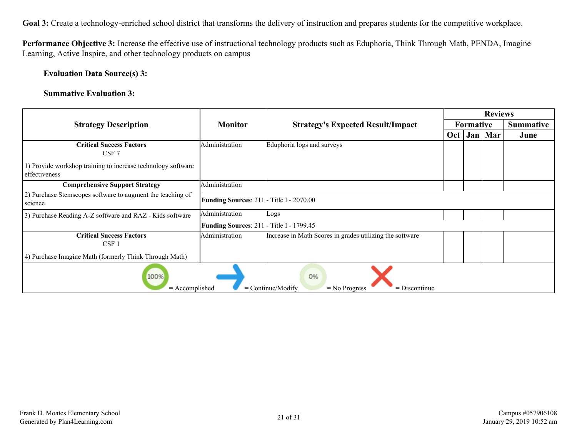Goal 3: Create a technology-enriched school district that transforms the delivery of instruction and prepares students for the competitive workplace.

**Performance Objective 3:** Increase the effective use of instructional technology products such as Eduphoria, Think Through Math, PENDA, Imagine Learning, Active Inspire, and other technology products on campus

**Evaluation Data Source(s) 3:**

|                                                                                             |                                                 |                                                          |     |           | <b>Reviews</b> |                  |
|---------------------------------------------------------------------------------------------|-------------------------------------------------|----------------------------------------------------------|-----|-----------|----------------|------------------|
| <b>Strategy Description</b>                                                                 | <b>Monitor</b>                                  | <b>Strategy's Expected Result/Impact</b>                 |     | Formative |                | <b>Summative</b> |
|                                                                                             |                                                 |                                                          | Oct | Jan       | Mar            | June             |
| <b>Critical Success Factors</b><br>CSF 7                                                    | Administration                                  | Eduphoria logs and surveys                               |     |           |                |                  |
| 1) Provide workshop training to increase technology software<br>effectiveness               |                                                 |                                                          |     |           |                |                  |
| <b>Comprehensive Support Strategy</b>                                                       | Administration                                  |                                                          |     |           |                |                  |
| 2) Purchase Stemscopes software to augment the teaching of<br>science                       | <b>Funding Sources: 211 - Title I - 2070.00</b> |                                                          |     |           |                |                  |
| 3) Purchase Reading A-Z software and RAZ - Kids software                                    | Administration                                  | Logs                                                     |     |           |                |                  |
|                                                                                             | Funding Sources: 211 - Title I - 1799.45        |                                                          |     |           |                |                  |
| <b>Critical Success Factors</b><br>CSF 1                                                    | Administration                                  | Increase in Math Scores in grades utilizing the software |     |           |                |                  |
| 4) Purchase Imagine Math (formerly Think Through Math)                                      |                                                 |                                                          |     |           |                |                  |
| 100%<br>0%<br>$=$ Continue/Modify<br>$=$ Discontinue<br>$=$ Accomplished<br>$=$ No Progress |                                                 |                                                          |     |           |                |                  |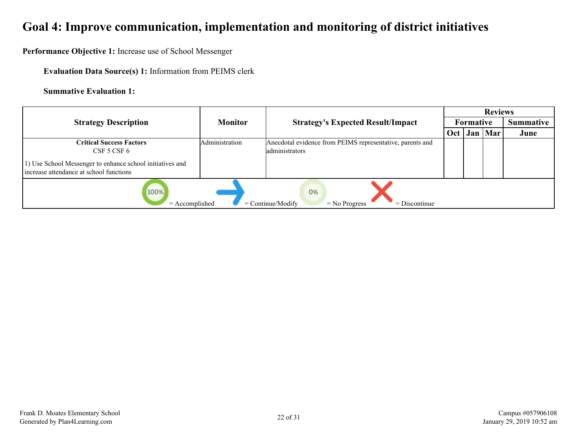# <span id="page-21-0"></span>**Goal 4: Improve communication, implementation and monitoring of district initiatives**

**Performance Objective 1:** Increase use of School Messenger

**Evaluation Data Source(s) 1:** Information from PEIMS clerk

|                                                                                                                                                        |                |                                                                             |  |           | <b>Reviews</b>   |      |  |
|--------------------------------------------------------------------------------------------------------------------------------------------------------|----------------|-----------------------------------------------------------------------------|--|-----------|------------------|------|--|
| <b>Strategy Description</b>                                                                                                                            | <b>Monitor</b> | <b>Strategy's Expected Result/Impact</b>                                    |  | Formative | <b>Summative</b> |      |  |
|                                                                                                                                                        |                |                                                                             |  |           | Jan   Mar        | June |  |
| <b>Critical Success Factors</b><br>CSF 5 CSF 6<br>1) Use School Messenger to enhance school initiatives and<br>increase attendance at school functions | Administration | Anecdotal evidence from PEIMS representative, parents and<br>administrators |  |           |                  |      |  |
| 100%<br>0%<br>$=$ Accomplished<br>$=$ Continue/Modify<br>$=$ Discontinue<br>$=$ No Progress                                                            |                |                                                                             |  |           |                  |      |  |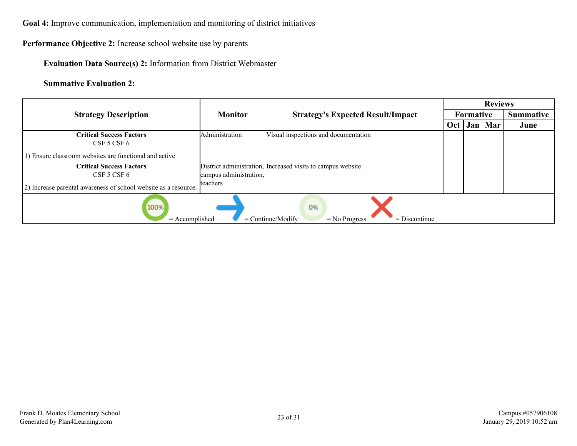**Goal 4:** Improve communication, implementation and monitoring of district initiatives

### **Performance Objective 2:** Increase school website use by parents

### **Evaluation Data Source(s) 2:** Information from District Webmaster

|                                                                                             |                        |                                                             | <b>Reviews</b> |           |                  |      |  |  |
|---------------------------------------------------------------------------------------------|------------------------|-------------------------------------------------------------|----------------|-----------|------------------|------|--|--|
| <b>Strategy Description</b>                                                                 | <b>Monitor</b>         | <b>Strategy's Expected Result/Impact</b>                    |                | Formative | <b>Summative</b> |      |  |  |
|                                                                                             |                        |                                                             | Oct            |           | Jan   Mar        | June |  |  |
| <b>Critical Success Factors</b>                                                             | Administration         | Visual inspections and documentation                        |                |           |                  |      |  |  |
| $CSF$ 5 $CSF$ 6                                                                             |                        |                                                             |                |           |                  |      |  |  |
| (b) Ensure classroom websites are functional and active                                     |                        |                                                             |                |           |                  |      |  |  |
| <b>Critical Success Factors</b>                                                             |                        | District administration, Increased visits to campus website |                |           |                  |      |  |  |
| CSF 5 CSF 6                                                                                 | campus administration, |                                                             |                |           |                  |      |  |  |
| (2) Increase parental awareness of school website as a resource.                            | teachers               |                                                             |                |           |                  |      |  |  |
| 100%<br>0%<br>$=$ Accomplished<br>$=$ Continue/Modify<br>$=$ No Progress<br>$=$ Discontinue |                        |                                                             |                |           |                  |      |  |  |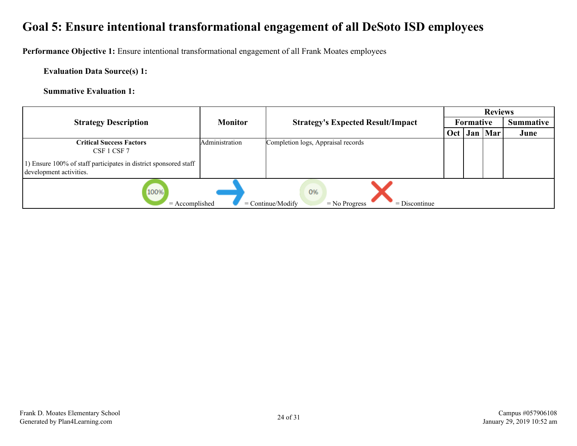# <span id="page-23-0"></span>**Goal 5: Ensure intentional transformational engagement of all DeSoto ISD employees**

**Performance Objective 1:** Ensure intentional transformational engagement of all Frank Moates employees

**Evaluation Data Source(s) 1:**

|                                                                                             |                |                                          |  |           | <b>Reviews</b>   |      |  |
|---------------------------------------------------------------------------------------------|----------------|------------------------------------------|--|-----------|------------------|------|--|
| <b>Strategy Description</b>                                                                 | <b>Monitor</b> | <b>Strategy's Expected Result/Impact</b> |  | Formative | <b>Summative</b> |      |  |
|                                                                                             |                |                                          |  |           | Jan   Mar        | June |  |
| <b>Critical Success Factors</b><br>CSF 1 CSF 7                                              | Administration | Completion logs, Appraisal records       |  |           |                  |      |  |
| 1) Ensure 100% of staff participates in district sponsored staff<br>development activities. |                |                                          |  |           |                  |      |  |
| 100%<br>0%<br>$=$ Accomplished<br>$=$ Continue/Modify<br>$=$ Discontinue<br>$=$ No Progress |                |                                          |  |           |                  |      |  |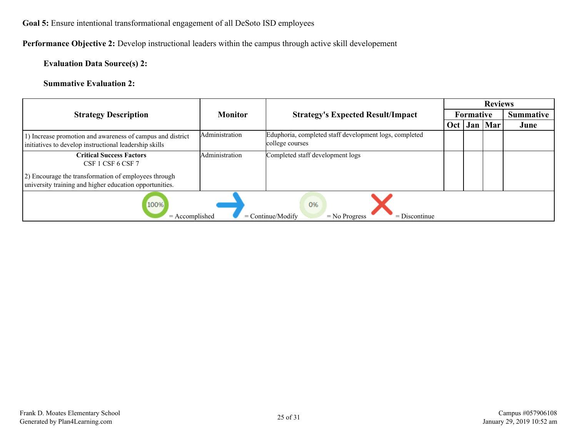### **Goal 5:** Ensure intentional transformational engagement of all DeSoto ISD employees

### **Performance Objective 2:** Develop instructional leaders within the campus through active skill developement

### **Evaluation Data Source(s) 2:**

|                                                                                                                       |                |                                                                           |     |           | <b>Reviews</b>   |      |
|-----------------------------------------------------------------------------------------------------------------------|----------------|---------------------------------------------------------------------------|-----|-----------|------------------|------|
| <b>Strategy Description</b>                                                                                           | <b>Monitor</b> | <b>Strategy's Expected Result/Impact</b>                                  |     | Formative | <b>Summative</b> |      |
|                                                                                                                       |                |                                                                           | Oct |           | Jan   Mar        | June |
| (b) Increase promotion and awareness of campus and district<br>initiatives to develop instructional leadership skills | Administration | Eduphoria, completed staff development logs, completed<br>college courses |     |           |                  |      |
| <b>Critical Success Factors</b><br>CSF 1 CSF 6 CSF 7                                                                  | Administration | Completed staff development logs                                          |     |           |                  |      |
| 2) Encourage the transformation of employees through<br>university training and higher education opportunities.       |                |                                                                           |     |           |                  |      |
| 100%<br>0%<br>$=$ Continue/Modify<br>$=$ Accomplished<br>$=$ No Progress<br>$=$ Discontinue                           |                |                                                                           |     |           |                  |      |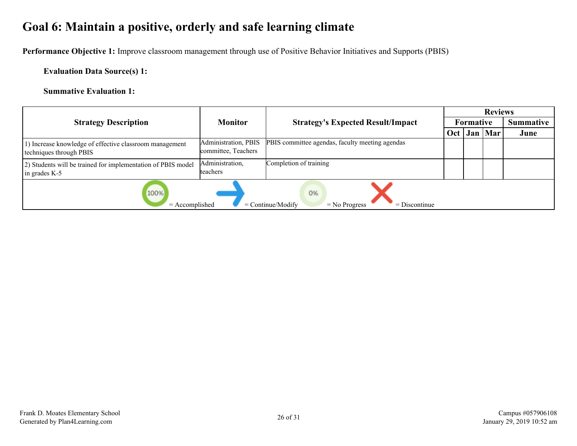# <span id="page-25-0"></span>**Goal 6: Maintain a positive, orderly and safe learning climate**

**Performance Objective 1:** Improve classroom management through use of Positive Behavior Initiatives and Supports (PBIS)

**Evaluation Data Source(s) 1:**

|                                                                                             |                                             |                                                 |     |                  | <b>Reviews</b> |                  |  |
|---------------------------------------------------------------------------------------------|---------------------------------------------|-------------------------------------------------|-----|------------------|----------------|------------------|--|
| <b>Strategy Description</b>                                                                 | <b>Monitor</b>                              | <b>Strategy's Expected Result/Impact</b>        |     | <b>Formative</b> |                | <b>Summative</b> |  |
|                                                                                             |                                             |                                                 | Oct | Jan              | Mar            | June             |  |
| Increase knowledge of effective classroom management<br>techniques through PBIS             | Administration, PBIS<br>committee, Teachers | PBIS committee agendas, faculty meeting agendas |     |                  |                |                  |  |
| 2) Students will be trained for implementation of PBIS model<br>in grades K-5               | Administration,<br>teachers                 | Completion of training                          |     |                  |                |                  |  |
| 100%<br>0%<br>$=$ Accomplished<br>$=$ Continue/Modify<br>$=$ Discontinue<br>$=$ No Progress |                                             |                                                 |     |                  |                |                  |  |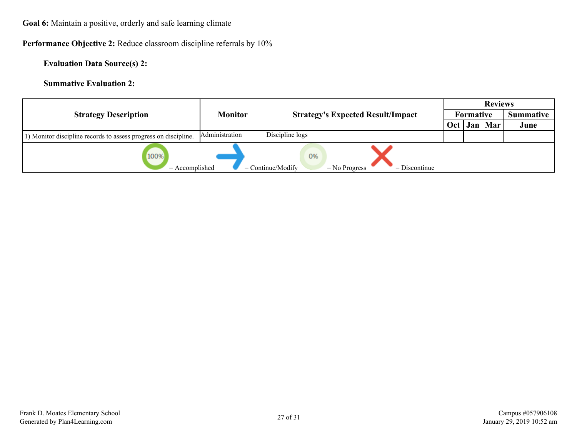**Goal 6:** Maintain a positive, orderly and safe learning climate

**Performance Objective 2:** Reduce classroom discipline referrals by 10%

**Evaluation Data Source(s) 2:**

|                                                                 |                |                                                                 | <b>Reviews</b>   |  |           |                  |  |
|-----------------------------------------------------------------|----------------|-----------------------------------------------------------------|------------------|--|-----------|------------------|--|
| <b>Strategy Description</b>                                     | <b>Monitor</b> | <b>Strategy's Expected Result/Impact</b>                        | <b>Formative</b> |  |           | <b>Summative</b> |  |
|                                                                 |                |                                                                 | Oct              |  | Jan   Mar | June             |  |
| 1) Monitor discipline records to assess progress on discipline. | Administration | Discipline logs                                                 |                  |  |           |                  |  |
| 100%<br>$=$ Accomplished                                        |                | 0%<br>$=$ No Progress<br>$=$ Discontinue<br>$=$ Continue/Modify |                  |  |           |                  |  |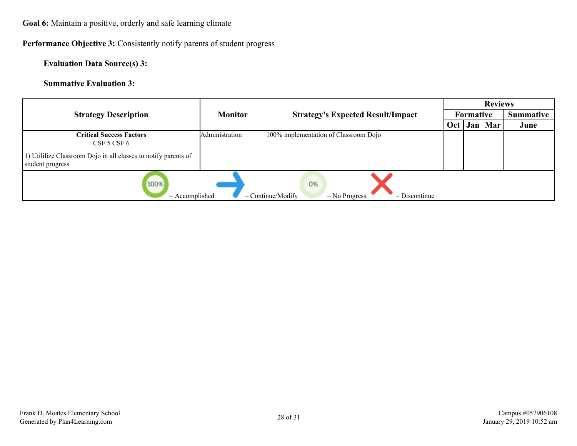**Goal 6:** Maintain a positive, orderly and safe learning climate

**Performance Objective 3:** Consistently notify parents of student progress

**Evaluation Data Source(s) 3:**

|                                                                                             |                |                                                 |  |           | <b>Reviews</b>   |      |  |
|---------------------------------------------------------------------------------------------|----------------|-------------------------------------------------|--|-----------|------------------|------|--|
| <b>Strategy Description</b>                                                                 | <b>Monitor</b> | <b>Strategy's Expected Result/Impact</b><br>Oct |  | Formative | <b>Summative</b> |      |  |
|                                                                                             |                |                                                 |  |           | Jan   Mar        | June |  |
| <b>Critical Success Factors</b><br>$CSF$ 5 $CSF$ 6                                          | Administration | 100% implementation of Classroom Dojo           |  |           |                  |      |  |
| 1) Utililize Classroom Dojo in all classes to notify parents of<br>student progress         |                |                                                 |  |           |                  |      |  |
| 100%<br>0%<br>$=$ Accomplished<br>$=$ Continue/Modify<br>$=$ Discontinue<br>$=$ No Progress |                |                                                 |  |           |                  |      |  |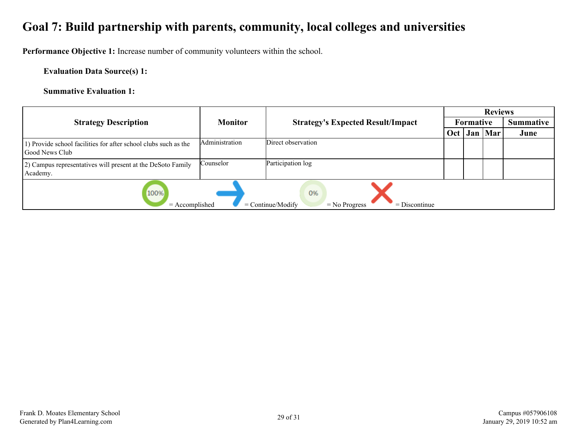# <span id="page-28-0"></span>**Goal 7: Build partnership with parents, community, local colleges and universities**

**Performance Objective 1:** Increase number of community volunteers within the school.

**Evaluation Data Source(s) 1:**

|                                                                                             |                |                                                 |  |           | <b>Reviews</b> |                  |  |
|---------------------------------------------------------------------------------------------|----------------|-------------------------------------------------|--|-----------|----------------|------------------|--|
| <b>Strategy Description</b>                                                                 | <b>Monitor</b> | <b>Strategy's Expected Result/Impact</b><br>Oct |  | Formative |                | <b>Summative</b> |  |
|                                                                                             |                |                                                 |  |           | Jan   Mar      | June             |  |
| 1) Provide school facilities for after school clubs such as the<br>Good News Club           | Administration | Direct observation                              |  |           |                |                  |  |
| [2] Campus representatives will present at the DeSoto Family<br>Academy.                    | Counselor      | Participation log                               |  |           |                |                  |  |
| 100%<br>0%<br>$=$ Continue/Modify<br>$=$ Discontinue<br>$=$ Accomplished<br>$=$ No Progress |                |                                                 |  |           |                |                  |  |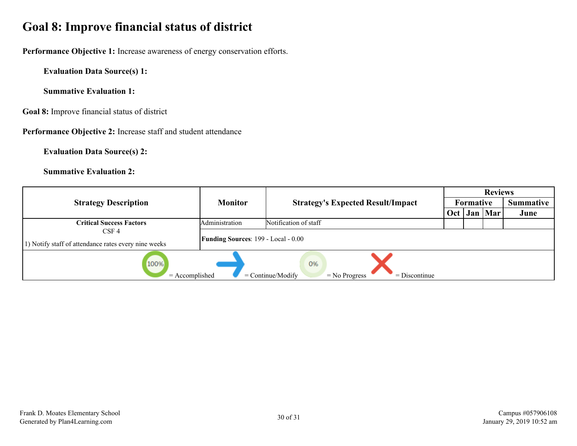# <span id="page-29-0"></span>**Goal 8: Improve financial status of district**

**Performance Objective 1:** Increase awareness of energy conservation efforts.

**Evaluation Data Source(s) 1:**

**Summative Evaluation 1:**

**Goal 8:** Improve financial status of district

**Performance Objective 2:** Increase staff and student attendance

**Evaluation Data Source(s) 2:**

|                                                                                             |                                            |                                          |     |                  | <b>Reviews</b> |                  |  |
|---------------------------------------------------------------------------------------------|--------------------------------------------|------------------------------------------|-----|------------------|----------------|------------------|--|
| <b>Strategy Description</b>                                                                 | <b>Monitor</b>                             | <b>Strategy's Expected Result/Impact</b> |     | <b>Formative</b> |                | <b>Summative</b> |  |
|                                                                                             |                                            |                                          | Oct |                  | Jan   Mar      | June             |  |
| <b>Critical Success Factors</b>                                                             | Administration                             | Notification of staff                    |     |                  |                |                  |  |
| CSF <sub>4</sub>                                                                            | <b>Funding Sources: 199 - Local - 0.00</b> |                                          |     |                  |                |                  |  |
| 1) Notify staff of attendance rates every nine weeks                                        |                                            |                                          |     |                  |                |                  |  |
| 100%<br>0%<br>$=$ Continue/Modify<br>$=$ Accomplished<br>$=$ Discontinue<br>$=$ No Progress |                                            |                                          |     |                  |                |                  |  |